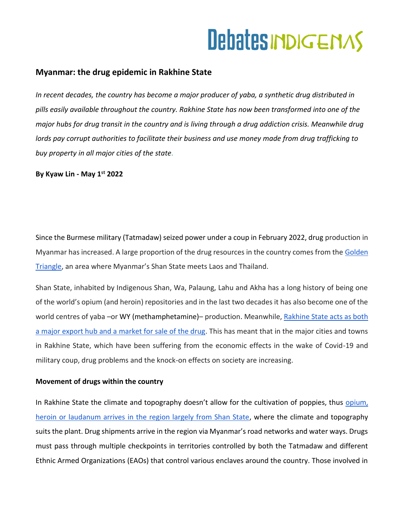### **Myanmar: the drug epidemic in Rakhine State**

*In recent decades, the country has become a major producer of yaba, a synthetic drug distributed in pills easily available throughout the country. Rakhine State has now been transformed into one of the major hubs for drug transit in the country and is living through a drug addiction crisis. Meanwhile drug lords pay corrupt authorities to facilitate their business and use money made from drug trafficking to buy property in all major cities of the state.* 

**By Kyaw Lin - May 1st 2022**

Since the Burmese military (Tatmadaw) seized power under a coup in February 2022, drug production in Myanmar has increased. A large proportion of the drug resources in the country comes from the Golden [Triangle](https://www.lavanguardia.com/internacional/20200522/481317922513/el-triangulo-de-oro-asiatico-deja-atras-la-heroina-y-pasa-a-ser-el-gran-laboratorio-de-las-drogas-sinteticas.html), an area where Myanmar's Shan State meets Laos and Thailand.

Shan State, inhabited by Indigenous Shan, Wa, Palaung, Lahu and Akha has a long history of being one of the world's opium (and heroin) repositories and in the last two decades it has also become one of the world centres of yaba –or WY (methamphetamine)– production. Meanwhile, [Rakhine State acts as both](https://www.mmtimes.com/news/rakhine-myanmars-drug-export-hub-military-says.html)  [a major export hub and a market for sale of the drug.](https://www.mmtimes.com/news/rakhine-myanmars-drug-export-hub-military-says.html) This has meant that in the major cities and towns in Rakhine State, which have been suffering from the economic effects in the wake of Covid-19 and military coup, drug problems and the knock-on effects on society are increasing.

### **Movement of drugs within the country**

In Rakhine State the climate and topography doesn't allow for the cultivation of poppies, thus opium, [heroin or laudanum arrives in the region largely from Shan State,](https://www.lavanguardia.com/vida/20190111/454071047583/cae-el-cultivo-de-opio-en-birmania-ante-el-auge-de-nuevas-drogas-segun-onu.html) where the climate and topography suits the plant. Drug shipments arrive in the region via Myanmar's road networks and water ways. Drugs must pass through multiple checkpoints in territories controlled by both the Tatmadaw and different Ethnic Armed Organizations (EAOs) that control various enclaves around the country. Those involved in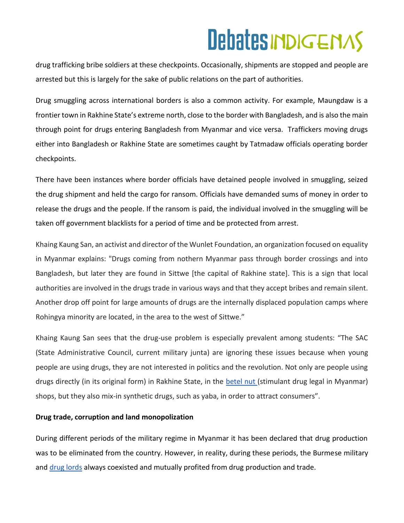drug trafficking bribe soldiers at these checkpoints. Occasionally, shipments are stopped and people are arrested but this is largely for the sake of public relations on the part of authorities.

Drug smuggling across international borders is also a common activity. For example, Maungdaw is a frontier town in Rakhine State's extreme north, close to the border with Bangladesh, and is also the main through point for drugs entering Bangladesh from Myanmar and vice versa. Traffickers moving drugs either into Bangladesh or Rakhine State are sometimes caught by Tatmadaw officials operating border checkpoints.

There have been instances where border officials have detained people involved in smuggling, seized the drug shipment and held the cargo for ransom. Officials have demanded sums of money in order to release the drugs and the people. If the ransom is paid, the individual involved in the smuggling will be taken off government blacklists for a period of time and be protected from arrest.

Khaing Kaung San, an activist and director of the Wunlet Foundation, an organization focused on equality in Myanmar explains: "Drugs coming from nothern Myanmar pass through border crossings and into Bangladesh, but later they are found in Sittwe [the capital of Rakhine state]. This is a sign that local authorities are involved in the drugs trade in various ways and that they accept bribes and remain silent. Another drop off point for large amounts of drugs are the internally displaced population camps where Rohingya minority are located, in the area to the west of Sittwe."

Khaing Kaung San sees that the drug-use problem is especially prevalent among students: "The SAC (State Administrative Council, current military junta) are ignoring these issues because when young people are using drugs, they are not interested in politics and the revolution. Not only are people using drugs directly (in its original form) in Rakhine State, in the [betel nut \(](https://www.bbc.com/mundo/noticias/2015/03/150323_salud_nuez_betel_asia_il)stimulant drug legal in Myanmar) shops, but they also mix-in synthetic drugs, such as yaba, in order to attract consumers".

#### **Drug trade, corruption and land monopolization**

During different periods of the military regime in Myanmar it has been declared that drug production was to be eliminated from the country. However, in reality, during these periods, the Burmese military and [drug lords](https://www.nytimes.com/2007/11/05/world/asia/05khunsa.html) always coexisted and mutually profited from drug production and trade.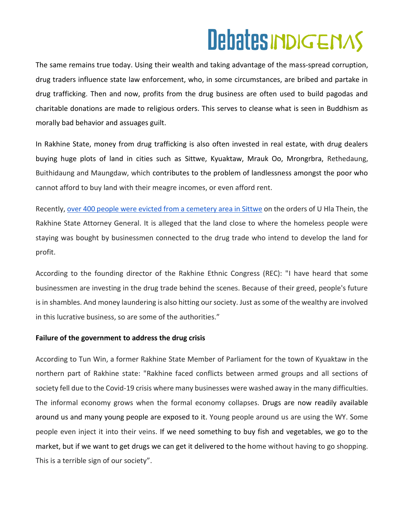The same remains true today. Using their wealth and taking advantage of the mass-spread corruption, drug traders influence state law enforcement, who, in some circumstances, are bribed and partake in drug trafficking. Then and now, profits from the drug business are often used to build pagodas and charitable donations are made to religious orders. This serves to cleanse what is seen in Buddhism as morally bad behavior and assuages guilt.

In Rakhine State, money from drug trafficking is also often invested in real estate, with drug dealers buying huge plots of land in cities such as Sittwe, Kyuaktaw, Mrauk Oo, Mrongrbra, Rethedaung, Buithidaung and Maungdaw, which contributes to the problem of landlessness amongst the poor who cannot afford to buy land with their meagre incomes, or even afford rent.

Recently[, over 400 people were evicted from a cemetery area in Sittwe](https://www.bnionline.net/en/news/evictees-sittwe-say-future-looks-bleak) on the orders of U Hla Thein, the Rakhine State Attorney General. It is alleged that the land close to where the homeless people were staying was bought by businessmen connected to the drug trade who intend to develop the land for profit.

According to the founding director of the Rakhine Ethnic Congress (REC): "I have heard that some businessmen are investing in the drug trade behind the scenes. Because of their greed, people's future is in shambles. And money laundering is also hitting our society. Just as some of the wealthy are involved in this lucrative business, so are some of the authorities."

#### **Failure of the government to address the drug crisis**

According to Tun Win, a former Rakhine State Member of Parliament for the town of Kyuaktaw in the northern part of Rakhine state: "Rakhine faced conflicts between armed groups and all sections of society fell due to the Covid-19 crisis where many businesses were washed away in the many difficulties. The informal economy grows when the formal economy collapses. Drugs are now readily available around us and many young people are exposed to it. Young people around us are using the WY. Some people even inject it into their veins. If we need something to buy fish and vegetables, we go to the market, but if we want to get drugs we can get it delivered to the home without having to go shopping. This is a terrible sign of our society".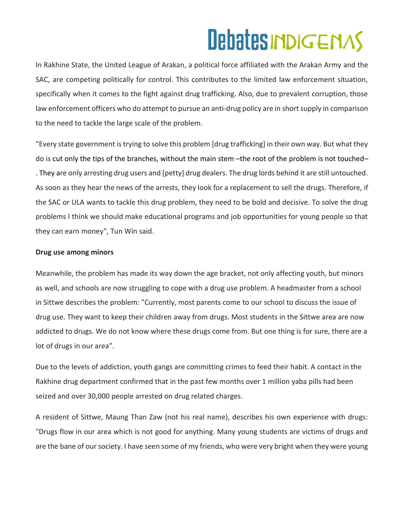In Rakhine State, the United League of Arakan, a political force affiliated with the Arakan Army and the SAC, are competing politically for control. This contributes to the limited law enforcement situation, specifically when it comes to the fight against drug trafficking. Also, due to prevalent corruption, those law enforcement officers who do attempt to pursue an anti-drug policy are in short supply in comparison to the need to tackle the large scale of the problem.

"Every state government is trying to solve this problem [drug trafficking] in their own way. But what they do is cut only the tips of the branches, without the main stem –the root of the problem is not touched– . They are only arresting drug users and [petty] drug dealers. The drug lords behind it are still untouched. As soon as they hear the news of the arrests, they look for a replacement to sell the drugs. Therefore, if the SAC or ULA wants to tackle this drug problem, they need to be bold and decisive. To solve the drug problems I think we should make educational programs and job opportunities for young people so that they can earn money", Tun Win said.

### **Drug use among minors**

Meanwhile, the problem has made its way down the age bracket, not only affecting youth, but minors as well, and schools are now struggling to cope with a drug use problem. A headmaster from a school in Sittwe describes the problem: "Currently, most parents come to our school to discuss the issue of drug use. They want to keep their children away from drugs. Most students in the Sittwe area are now addicted to drugs. We do not know where these drugs come from. But one thing is for sure, there are a lot of drugs in our area".

Due to the levels of addiction, youth gangs are committing crimes to feed their habit. A contact in the Rakhine drug department confirmed that in the past few months over 1 million yaba pills had been seized and over 30,000 people arrested on drug related charges.

A resident of Sittwe, Maung Than Zaw (not his real name), describes his own experience with drugs: "Drugs flow in our area which is not good for anything. Many young students are victims of drugs and are the bane of our society. I have seen some of my friends, who were very bright when they were young